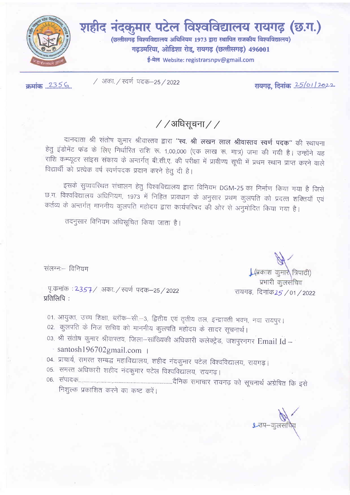

शहीद नंदकुमार पटेल विश्वविद्यालय रायगढ़ (छ.ग.)

(छत्तीसगढ़ विश्वविद्यालय अधिनियम 1973 द्वारा स्थापित राजकीय विश्वविद्यालय) गढ़उमरिया, ओडिशा रोड, रायगढ़ (छत्तीसगढ़) 496001

ई-मेल Website: registrarsnpv@gmail.com

 $\pi$ मांक 2356

/ अका. / स्वर्ण पदक-25 / 2022

रायगढ़, दिनांक 25/01/2022

 $//$ अधिसूचना $//$ 

दानदाता श्री संतोष कुमार श्रीवास्तव द्वारा "स्व. श्री लखन लाल श्रीवास्तव स्वर्ण पदक" की स्थापना हेतु इंडोमेंट फंड के लिए निर्धारित राशि रू. 1,00,000 (एक लाख रू. मात्र) जमा की गयी है। उन्होंने यह राशि कम्प्यूटर सांइस संकाय के अन्तर्गत् बी.सी.ए. की परीक्षा में प्रावीण्य सूची में प्रथम स्थान प्राप्त करने वाले विद्यार्थी को प्रत्येक वर्ष स्वर्णपदक प्रदान करने हेतु दी है।

इसके सुव्यवरिथत संचालन हेतु विश्वविद्यालय द्वारा विनियम DGM-25 का निर्माण किया गया है जिसे छ ग. विश्वविद्यालय अधिनियम, 1973 में निहित प्रावधान के अनुसार प्रथम कुलपति को प्रदत्त शक्तियाँ एवं कर्तव्य के अन्तर्गत् माननीय कुलपति महोदय द्वारा कार्यपरिषद की ओर से अनुमोदित किया गया है।

तदनुसार विनियम अधिसूचित किया जाता है।

संलग्नः - विनियम

पृ.कमांक : 2357/ अका. / स्वर्ण पदक–25/2022 प्रतिलिपि:

01. आयुक्त, उच्च शिक्षा, ब्लॉक-सी.-3, द्वितीय एवं तृतीय तल, इन्द्रावती भवन, नवा रायपुर। 02. कुलपति के निज सचिव को माननीय कुलपति महोदय के सादर सूचनार्थ।

- 03 श्री संतोष कुमार श्रीवास्तव, जिला-सांख्यिकी अधिकारी कलेक्ट्रेड, जशपुरनगर Email Id santosh196702gmail.com |
- 04. प्राचार्य, समस्त सम्बद्ध महाविद्यालय, शहीद नंदकुमार पटेल विश्वविद्यालय, रायगढ़।
- 05. समस्त अधिकारी शहीद नंदकुमार पटेल विश्वविद्यालय, रायगढ़।

निशुल्क प्रकाशित करने का कष्ट करें।

| (प्रकाश) कुमारे त्रिपाठी) प्रभारी कुलसंचिव

रायगढ़, दिनांक25 / 01 / 2022